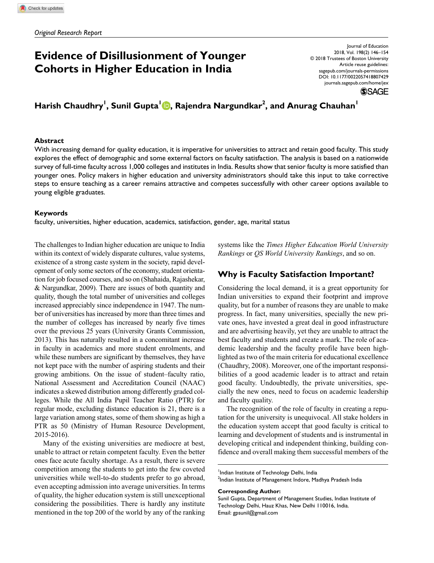# **Evidence of Disillusionment of Younger Cohorts in Higher Education in India**

Journal of Education 2018, Vol. 198(2) 146-154 © 2018 Trustees of Boston University Article reuse guidelines: Article reuse guidelines:<br>sagepub.com/journals-permissions<br>DOI: 10.1177/0022057418807429 DOI: 10.1177/0022057418807429 journals.sagepub.com/home/jex **SSAGE** 

**Harish Chaudhry<sup>1</sup> , Sunil Gupta<sup>1</sup> , Rajendra Nargundkar<sup>2</sup> , and Anurag Chauhan<sup>1</sup>**

#### **Abstract**

With increasing demand for quality education, it is imperative for universities to attract and retain good faculty. This study explores the effect of demographic and some external factors on faculty satisfaction. The analysis is based on a nationwide survey of full-time faculty across 1,000 colleges and institutes in India. Results show that senior faculty is more satisfied than younger ones. Policy makers in higher education and university administrators should take this input to take corrective steps to ensure teaching as a career remains attractive and competes successfully with other career options available to young eligible graduates.

#### **Keywords**

faculty, universities, higher education, academics, satisfaction, gender, age, marital status

The challenges to Indian higher education are unique to India within its context of widely disparate cultures, value systems, existence of a strong caste system in the society, rapid development of only some sectors of the economy, student orientation for job focused courses, and so on (Shahaida, Rajashekar, & Nargundkar, 2009). There are issues of both quantity and quality, though the total number of universities and colleges increased appreciably since independence in 1947. The number of universities has increased by more than three times and the number of colleges has increased by nearly five times over the previous 25 years (University Grants Commission, 2013). This has naturally resulted in a concomitant increase in faculty in academics and more student enrolments, and while these numbers are significant by themselves, they have not kept pace with the number of aspiring students and their growing ambitions. On the issue of student–faculty ratio, National Assessment and Accreditation Council (NAAC) indicates a skewed distribution among differently graded colleges. While the All India Pupil Teacher Ratio (PTR) for regular mode, excluding distance education is 21, there is a large variation among states, some of them showing as high a PTR as 50 (Ministry of Human Resource Development, 2015-2016).

Many of the existing universities are mediocre at best, unable to attract or retain competent faculty. Even the better ones face acute faculty shortage. As a result, there is severe competition among the students to get into the few coveted universities while well-to-do students prefer to go abroad, even accepting admission into average universities. In terms of quality, the higher education system is still unexceptional considering the possibilities. There is hardly any institute mentioned in the top 200 of the world by any of the ranking

systems like the *Times Higher Education World University Rankings* or *QS World University Rankings*, and so on.

# **Why is Faculty Satisfaction Important?**

Considering the local demand, it is a great opportunity for Indian universities to expand their footprint and improve quality, but for a number of reasons they are unable to make progress. In fact, many universities, specially the new private ones, have invested a great deal in good infrastructure and are advertising heavily, yet they are unable to attract the best faculty and students and create a mark. The role of academic leadership and the faculty profile have been highlighted as two of the main criteria for educational excellence (Chaudhry, 2008). Moreover, one of the important responsibilities of a good academic leader is to attract and retain good faculty. Undoubtedly, the private universities, specially the new ones, need to focus on academic leadership and faculty quality.

The recognition of the role of faculty in creating a reputation for the university is unequivocal. All stake holders in the education system accept that good faculty is critical to learning and development of students and is instrumental in developing critical and independent thinking, building confidence and overall making them successful members of the

**Corresponding Author:**

<sup>&</sup>lt;sup>1</sup>Indian Institute of Technology Delhi, India  $^2$ Indian Institute of Management Indore, Madhya Pradesh India

Sunil Gupta, Department of Management Studies, Indian Institute of Technology Delhi, Hauz Khas, New Delhi 110016, India. Email: gpsunil@gmail.com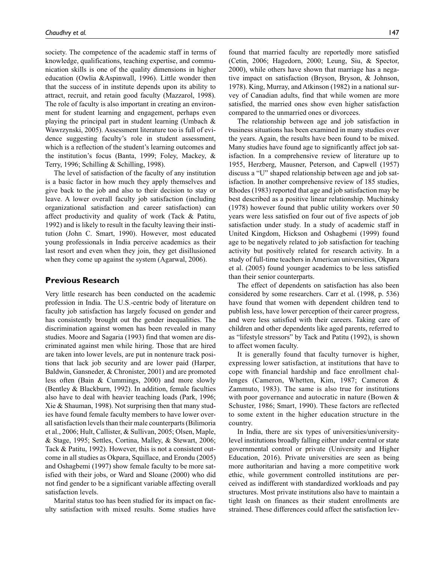society. The competence of the academic staff in terms of knowledge, qualifications, teaching expertise, and communication skills is one of the quality dimensions in higher education (Owlia &Aspinwall, 1996). Little wonder then that the success of in institute depends upon its ability to attract, recruit, and retain good faculty (Mazzarol, 1998). The role of faculty is also important in creating an environment for student learning and engagement, perhaps even playing the principal part in student learning (Umbach & Wawrzynski, 2005). Assessment literature too is full of evidence suggesting faculty's role in student assessment, which is a reflection of the student's learning outcomes and the institution's focus (Banta, 1999; Foley, Mackey, & Terry, 1996; Schilling & Schilling, 1998).

The level of satisfaction of the faculty of any institution is a basic factor in how much they apply themselves and give back to the job and also to their decision to stay or leave. A lower overall faculty job satisfaction (including organizational satisfaction and career satisfaction) can affect productivity and quality of work (Tack & Patitu, 1992) and is likely to result in the faculty leaving their institution (John C. Smart, 1990). However, most educated young professionals in India perceive academics as their last resort and even when they join, they get disillusioned when they come up against the system (Agarwal, 2006).

## **Previous Research**

Very little research has been conducted on the academic profession in India. The U.S.-centric body of literature on faculty job satisfaction has largely focused on gender and has consistently brought out the gender inequalities. The discrimination against women has been revealed in many studies. Moore and Sagaria (1993) find that women are discriminated against men while hiring. Those that are hired are taken into lower levels, are put in nontenure track positions that lack job security and are lower paid (Harper, Baldwin, Gansneder, & Chronister, 2001) and are promoted less often (Bain & Cummings, 2000) and more slowly (Bentley & Blackburn, 1992). In addition, female faculties also have to deal with heavier teaching loads (Park, 1996; Xie & Shauman, 1998). Not surprising then that many studies have found female faculty members to have lower overall satisfaction levels than their male counterparts (Bilimoria et al., 2006; Hult, Callister, & Sullivan, 2005; Olsen, Maple, & Stage, 1995; Settles, Cortina, Malley, & Stewart, 2006; Tack & Patitu, 1992). However, this is not a consistent outcome in all studies as Okpara, Squillace, and Erondu (2005) and Oshagbemi (1997) show female faculty to be more satisfied with their jobs, or Ward and Sloane (2000) who did not find gender to be a significant variable affecting overall satisfaction levels.

Marital status too has been studied for its impact on faculty satisfaction with mixed results. Some studies have found that married faculty are reportedly more satisfied (Cetin, 2006; Hagedorn, 2000; Leung, Siu, & Spector, 2000), while others have shown that marriage has a negative impact on satisfaction (Bryson, Bryson, & Johnson, 1978). King, Murray, and Atkinson (1982) in a national survey of Canadian adults, find that while women are more satisfied, the married ones show even higher satisfaction compared to the unmarried ones or divorcees.

The relationship between age and job satisfaction in business situations has been examined in many studies over the years. Again, the results have been found to be mixed. Many studies have found age to significantly affect job satisfaction. In a comprehensive review of literature up to 1955, Herzberg, Mausner, Peterson, and Capwell (1957) discuss a "U" shaped relationship between age and job satisfaction. In another comprehensive review of 185 studies, Rhodes (1983) reported that age and job satisfaction may be best described as a positive linear relationship. Muchinsky (1978) however found that public utility workers over 50 years were less satisfied on four out of five aspects of job satisfaction under study. In a study of academic staff in United Kingdom, Hickson and Oshagbemi (1999) found age to be negatively related to job satisfaction for teaching activity but positively related for research activity. In a study of full-time teachers in American universities, Okpara et al. (2005) found younger academics to be less satisfied than their senior counterparts.

The effect of dependents on satisfaction has also been considered by some researchers. Carr et al. (1998, p. 536) have found that women with dependent children tend to publish less, have lower perception of their career progress, and were less satisfied with their careers. Taking care of children and other dependents like aged parents, referred to as "lifestyle stressors" by Tack and Patitu (1992), is shown to affect women faculty.

It is generally found that faculty turnover is higher, expressing lower satisfaction, at institutions that have to cope with financial hardship and face enrollment challenges (Cameron, Whetten, Kim, 1987; Cameron & Zammuto, 1983). The same is also true for institutions with poor governance and autocratic in nature (Bowen & Schuster, 1986; Smart, 1990). These factors are reflected to some extent in the higher education structure in the country.

In India, there are six types of universities/universitylevel institutions broadly falling either under central or state governmental control or private (University and Higher Education, 2016). Private universities are seen as being more authoritarian and having a more competitive work ethic, while government controlled institutions are perceived as indifferent with standardized workloads and pay structures. Most private institutions also have to maintain a tight leash on finances as their student enrollments are strained. These differences could affect the satisfaction lev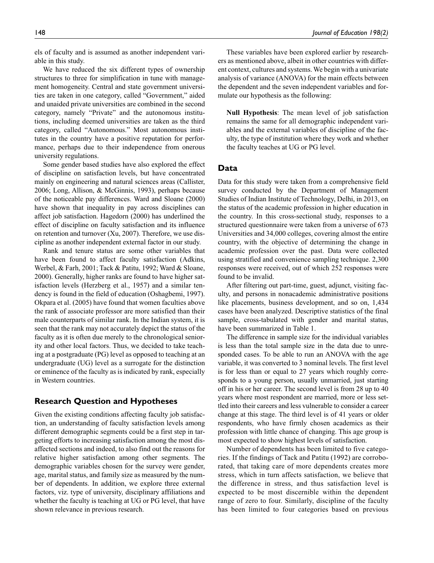els of faculty and is assumed as another independent variable in this study.

We have reduced the six different types of ownership structures to three for simplification in tune with management homogeneity. Central and state government universities are taken in one category, called "Government," aided and unaided private universities are combined in the second category, namely "Private" and the autonomous institutions, including deemed universities are taken as the third category, called "Autonomous." Most autonomous institutes in the country have a positive reputation for performance, perhaps due to their independence from onerous university regulations.

Some gender based studies have also explored the effect of discipline on satisfaction levels, but have concentrated mainly on engineering and natural sciences areas (Callister, 2006; Long, Allison, & McGinnis, 1993), perhaps because of the noticeable pay differences. Ward and Sloane (2000) have shown that inequality in pay across disciplines can affect job satisfaction. Hagedorn (2000) has underlined the effect of discipline on faculty satisfaction and its influence on retention and turnover (Xu, 2007). Therefore, we use discipline as another independent external factor in our study.

Rank and tenure status are some other variables that have been found to affect faculty satisfaction (Adkins, Werbel, & Farh, 2001; Tack & Patitu, 1992; Ward & Sloane, 2000). Generally, higher ranks are found to have higher satisfaction levels (Herzberg et al., 1957) and a similar tendency is found in the field of education (Oshagbemi, 1997). Okpara et al. (2005) have found that women faculties above the rank of associate professor are more satisfied than their male counterparts of similar rank. In the Indian system, it is seen that the rank may not accurately depict the status of the faculty as it is often due merely to the chronological seniority and other local factors. Thus, we decided to take teaching at a postgraduate (PG) level as opposed to teaching at an undergraduate (UG) level as a surrogate for the distinction or eminence of the faculty as is indicated by rank, especially in Western countries.

# **Research Question and Hypotheses**

Given the existing conditions affecting faculty job satisfaction, an understanding of faculty satisfaction levels among different demographic segments could be a first step in targeting efforts to increasing satisfaction among the most disaffected sections and indeed, to also find out the reasons for relative higher satisfaction among other segments. The demographic variables chosen for the survey were gender, age, marital status, and family size as measured by the number of dependents. In addition, we explore three external factors, viz. type of university, disciplinary affiliations and whether the faculty is teaching at UG or PG level, that have shown relevance in previous research.

These variables have been explored earlier by researchers as mentioned above, albeit in other countries with different context, cultures and systems. We begin with a univariate analysis of variance (ANOVA) for the main effects between the dependent and the seven independent variables and formulate our hypothesis as the following:

**Null Hypothesis**: The mean level of job satisfaction remains the same for all demographic independent variables and the external variables of discipline of the faculty, the type of institution where they work and whether the faculty teaches at UG or PG level.

# **Data**

Data for this study were taken from a comprehensive field survey conducted by the Department of Management Studies of Indian Institute of Technology, Delhi, in 2013, on the status of the academic profession in higher education in the country. In this cross-sectional study, responses to a structured questionnaire were taken from a universe of 673 Universities and 34,000 colleges, covering almost the entire country, with the objective of determining the change in academic profession over the past. Data were collected using stratified and convenience sampling technique. 2,300 responses were received, out of which 252 responses were found to be invalid.

After filtering out part-time, guest, adjunct, visiting faculty, and persons in nonacademic administrative positions like placements, business development, and so on, 1,434 cases have been analyzed. Descriptive statistics of the final sample, cross-tabulated with gender and marital status, have been summarized in Table 1.

The difference in sample size for the individual variables is less than the total sample size in the data due to unresponded cases. To be able to run an ANOVA with the age variable, it was converted to 3 nominal levels. The first level is for less than or equal to 27 years which roughly corresponds to a young person, usually unmarried, just starting off in his or her career. The second level is from 28 up to 40 years where most respondent are married, more or less settled into their careers and less vulnerable to consider a career change at this stage. The third level is of 41 years or older respondents, who have firmly chosen academics as their profession with little chance of changing. This age group is most expected to show highest levels of satisfaction.

Number of dependents has been limited to five categories. If the findings of Tack and Patitu (1992) are corroborated, that taking care of more dependents creates more stress, which in turn affects satisfaction, we believe that the difference in stress, and thus satisfaction level is expected to be most discernible within the dependent range of zero to four. Similarly, discipline of the faculty has been limited to four categories based on previous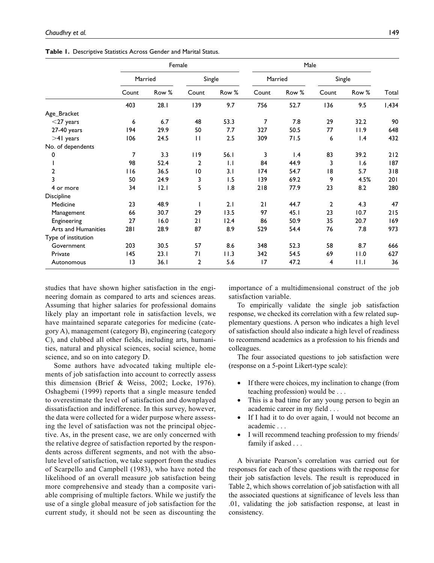|                     | Female         |       |        | Male  |         |       |                |       |       |
|---------------------|----------------|-------|--------|-------|---------|-------|----------------|-------|-------|
|                     | Married        |       | Single |       | Married |       | Single         |       |       |
|                     | Count          | Row % | Count  | Row % | Count   | Row % | Count          | Row % | Total |
|                     | 403            | 28.1  | 139    | 9.7   | 756     | 52.7  | 136            | 9.5   | 1,434 |
| Age_Bracket         |                |       |        |       |         |       |                |       |       |
| $<$ 27 years        | 6              | 6.7   | 48     | 53.3  | 7       | 7.8   | 29             | 32.2  | 90    |
| $27-40$ years       | 94             | 29.9  | 50     | 7.7   | 327     | 50.5  | 77             | 11.9  | 648   |
| >41 years           | 106            | 24.5  | П      | 2.5   | 309     | 71.5  | 6              | 1.4   | 432   |
| No. of dependents   |                |       |        |       |         |       |                |       |       |
| 0                   | $\overline{7}$ | 3.3   | 119    | 56.1  | 3       | 1.4   | 83             | 39.2  | 212   |
|                     | 98             | 52.4  | 2      | 1.1   | 84      | 44.9  | 3              | 1.6   | 187   |
| 2                   | <b>116</b>     | 36.5  | 10     | 3.1   | 174     | 54.7  | 18             | 5.7   | 318   |
| 3                   | 50             | 24.9  | 3      | 1.5   | 139     | 69.2  | 9              | 4.5%  | 201   |
| 4 or more           | 34             | 2.1   | 5      | 1.8   | 218     | 77.9  | 23             | 8.2   | 280   |
| Discipline          |                |       |        |       |         |       |                |       |       |
| Medicine            | 23             | 48.9  |        | 2.1   | 21      | 44.7  | $\overline{2}$ | 4.3   | 47    |
| Management          | 66             | 30.7  | 29     | 13.5  | 97      | 45.1  | 23             | 10.7  | 215   |
| Engineering         | 27             | 16.0  | 21     | 12.4  | 86      | 50.9  | 35             | 20.7  | 169   |
| Arts and Humanities | 281            | 28.9  | 87     | 8.9   | 529     | 54.4  | 76             | 7.8   | 973   |
| Type of institution |                |       |        |       |         |       |                |       |       |
| Government          | 203            | 30.5  | 57     | 8.6   | 348     | 52.3  | 58             | 8.7   | 666   |
| Private             | 145            | 23.1  | 71     | 11.3  | 342     | 54.5  | 69             | 11.0  | 627   |
| Autonomous          | 13             | 36.1  | 2      | 5.6   | 17      | 47.2  | 4              | 11.1  | 36    |

**Table 1.** Descriptive Statistics Across Gender and Marital Status.

studies that have shown higher satisfaction in the engineering domain as compared to arts and sciences areas. Assuming that higher salaries for professional domains likely play an important role in satisfaction levels, we have maintained separate categories for medicine (category A), management (category B), engineering (category C), and clubbed all other fields, including arts, humanities, natural and physical sciences, social science, home science, and so on into category D.

Some authors have advocated taking multiple elements of job satisfaction into account to correctly assess this dimension (Brief & Weiss, 2002; Locke, 1976). Oshagbemi (1999) reports that a single measure tended to overestimate the level of satisfaction and downplayed dissatisfaction and indifference. In this survey, however, the data were collected for a wider purpose where assessing the level of satisfaction was not the principal objective. As, in the present case, we are only concerned with the relative degree of satisfaction reported by the respondents across different segments, and not with the absolute level of satisfaction, we take support from the studies of Scarpello and Campbell (1983), who have noted the likelihood of an overall measure job satisfaction being more comprehensive and steady than a composite variable comprising of multiple factors. While we justify the use of a single global measure of job satisfaction for the current study, it should not be seen as discounting the

importance of a multidimensional construct of the job satisfaction variable.

To empirically validate the single job satisfaction response, we checked its correlation with a few related supplementary questions. A person who indicates a high level of satisfaction should also indicate a high level of readiness to recommend academics as a profession to his friends and colleagues.

The four associated questions to job satisfaction were (response on a 5-point Likert-type scale):

- If there were choices, my inclination to change (from teaching profession) would be . . .
- This is a bad time for any young person to begin an academic career in my field . . .
- If I had it to do over again, I would not become an academic . . .
- I will recommend teaching profession to my friends/ family if asked . . .

A bivariate Pearson's correlation was carried out for responses for each of these questions with the response for their job satisfaction levels. The result is reproduced in Table 2, which shows correlation of job satisfaction with all the associated questions at significance of levels less than .01, validating the job satisfaction response, at least in consistency.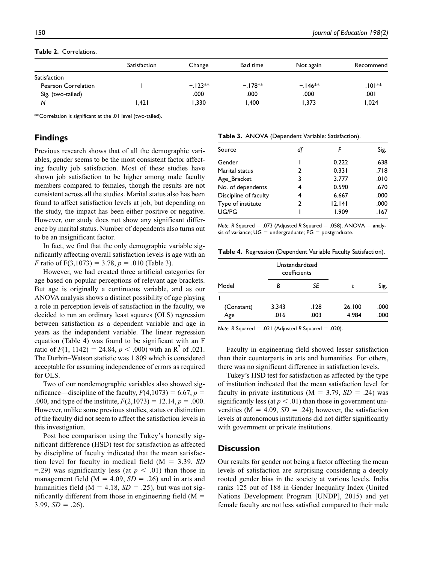|                     | Satisfaction | Change   | Bad time  | Not again | Recommend |
|---------------------|--------------|----------|-----------|-----------|-----------|
| Satisfaction        |              |          |           |           |           |
| Pearson Correlation |              | $-123**$ | $-.178**$ | $-.146**$ | .101**    |
| Sig. (two-tailed)   |              | .000     | .000      | .000      | .001      |
|                     | .421         | 1,330    | ,400      | 1,373     | 1,024     |
|                     |              |          |           |           |           |

#### **Table 2.** Correlations.

\*\*Correlation is significant at the .01 level (two-tailed).

# **Findings**

Previous research shows that of all the demographic variables, gender seems to be the most consistent factor affecting faculty job satisfaction. Most of these studies have shown job satisfaction to be higher among male faculty members compared to females, though the results are not consistent across all the studies. Marital status also has been found to affect satisfaction levels at job, but depending on the study, the impact has been either positive or negative. However, our study does not show any significant difference by marital status. Number of dependents also turns out to be an insignificant factor.

In fact, we find that the only demographic variable significantly affecting overall satisfaction levels is age with an *F* ratio of  $F(3,1073) = 3.78$ ,  $p = .010$  (Table 3).

However, we had created three artificial categories for age based on popular perceptions of relevant age brackets. But age is originally a continuous variable, and as our ANOVA analysis shows a distinct possibility of age playing a role in perception levels of satisfaction in the faculty, we decided to run an ordinary least squares (OLS) regression between satisfaction as a dependent variable and age in years as the independent variable. The linear regression equation (Table 4) was found to be significant with an F ratio of  $F(1, 1142) = 24.84, p < .000$  with an R<sup>2</sup> of .021. The Durbin–Watson statistic was 1.809 which is considered acceptable for assuming independence of errors as required for OLS.

Two of our nondemographic variables also showed significance—discipline of the faculty,  $F(4,1073) = 6.67$ ,  $p =$ .000, and type of the institute,  $F(2,1073) = 12.14$ ,  $p = .000$ . However, unlike some previous studies, status or distinction of the faculty did not seem to affect the satisfaction levels in this investigation.

Post hoc comparison using the Tukey's honestly significant difference (HSD) test for satisfaction as affected by discipline of faculty indicated that the mean satisfaction level for faculty in medical field (M = 3.39, *SD*  $=$ .29) was significantly less (at  $p < .01$ ) than those in management field ( $M = 4.09$ ,  $SD = .26$ ) and in arts and humanities field ( $M = 4.18$ ,  $SD = .25$ ), but was not significantly different from those in engineering field  $(M =$  $3.99, SD = .26$ .

#### **Table 3.** ANOVA (Dependent Variable: Satisfaction).

| Source                |   | F      | Sig. |
|-----------------------|---|--------|------|
| Gender                |   | 0.222  | .638 |
| Marital status        | 2 | 0.331  | .718 |
| Age_Bracket           | 3 | 3.777  | .010 |
| No. of dependents     | 4 | 0.590  | .670 |
| Discipline of faculty | 4 | 6.667  | .000 |
| Type of institute     | 2 | 12.141 | .000 |
| <b>UG/PG</b>          |   | 1.909  | .167 |

*Note. R* Squared = .073 (Adjusted *R* Squared = .058). ANOVA = analysis of variance;  $UG =$  undergraduate;  $PG =$  postgraduate.

**Table 4.** Regression (Dependent Variable Faculty Satisfaction).

|            | Unstandardized<br>coefficients |      |        |      |
|------------|--------------------------------|------|--------|------|
| Model      | R                              | SE   | t      | Sig. |
|            |                                |      |        |      |
| (Constant) | 3.343                          | .128 | 26.100 | .000 |
| Age        | .016                           | .003 | 4.984  | .000 |

*Note. R* Squared = .021 (Adjusted *R* Squared = .020).

Faculty in engineering field showed lesser satisfaction than their counterparts in arts and humanities. For others, there was no significant difference in satisfaction levels.

Tukey's HSD test for satisfaction as affected by the type of institution indicated that the mean satisfaction level for faculty in private institutions ( $M = 3.79$ ,  $SD = .24$ ) was significantly less (at  $p < .01$ ) than those in government universities ( $M = 4.09$ ,  $SD = .24$ ); however, the satisfaction levels at autonomous institutions did not differ significantly with government or private institutions.

## **Discussion**

Our results for gender not being a factor affecting the mean levels of satisfaction are surprising considering a deeply rooted gender bias in the society at various levels. India ranks 125 out of 188 in Gender Inequality Index (United Nations Development Program [UNDP], 2015) and yet female faculty are not less satisfied compared to their male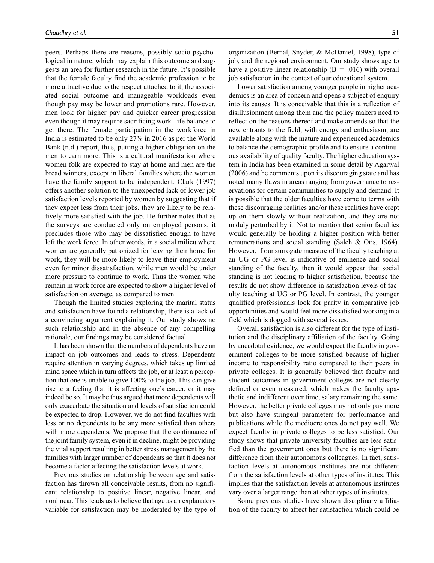peers. Perhaps there are reasons, possibly socio-psychological in nature, which may explain this outcome and suggests an area for further research in the future. It's possible that the female faculty find the academic profession to be more attractive due to the respect attached to it, the associated social outcome and manageable workloads even though pay may be lower and promotions rare. However, men look for higher pay and quicker career progression even though it may require sacrificing work–life balance to get there. The female participation in the workforce in India is estimated to be only 27% in 2016 as per the World Bank (n.d.) report, thus, putting a higher obligation on the men to earn more. This is a cultural manifestation where women folk are expected to stay at home and men are the bread winners, except in liberal families where the women have the family support to be independent. Clark (1997) offers another solution to the unexpected lack of lower job satisfaction levels reported by women by suggesting that if they expect less from their jobs, they are likely to be relatively more satisfied with the job. He further notes that as the surveys are conducted only on employed persons, it precludes those who may be dissatisfied enough to have left the work force. In other words, in a social milieu where women are generally patronized for leaving their home for work, they will be more likely to leave their employment even for minor dissatisfaction, while men would be under more pressure to continue to work. Thus the women who remain in work force are expected to show a higher level of satisfaction on average, as compared to men.

Though the limited studies exploring the marital status and satisfaction have found a relationship, there is a lack of a convincing argument explaining it. Our study shows no such relationship and in the absence of any compelling rationale, our findings may be considered factual.

It has been shown that the numbers of dependents have an impact on job outcomes and leads to stress. Dependents require attention in varying degrees, which takes up limited mind space which in turn affects the job, or at least a perception that one is unable to give 100% to the job. This can give rise to a feeling that it is affecting one's career, or it may indeed be so. It may be thus argued that more dependents will only exacerbate the situation and levels of satisfaction could be expected to drop. However, we do not find faculties with less or no dependents to be any more satisfied than others with more dependents. We propose that the continuance of the joint family system, even if in decline, might be providing the vital support resulting in better stress management by the families with larger number of dependents so that it does not become a factor affecting the satisfaction levels at work.

Previous studies on relationship between age and satisfaction has thrown all conceivable results, from no significant relationship to positive linear, negative linear, and nonlinear. This leads us to believe that age as an explanatory variable for satisfaction may be moderated by the type of organization (Bernal, Snyder, & McDaniel, 1998), type of job, and the regional environment. Our study shows age to have a positive linear relationship  $(B = .016)$  with overall job satisfaction in the context of our educational system.

Lower satisfaction among younger people in higher academics is an area of concern and opens a subject of enquiry into its causes. It is conceivable that this is a reflection of disillusionment among them and the policy makers need to reflect on the reasons thereof and make amends so that the new entrants to the field, with energy and enthusiasm, are available along with the mature and experienced academics to balance the demographic profile and to ensure a continuous availability of quality faculty. The higher education system in India has been examined in some detail by Agarwal (2006) and he comments upon its discouraging state and has noted many flaws in areas ranging from governance to reservations for certain communities to supply and demand. It is possible that the older faculties have come to terms with these discouraging realities and/or these realities have crept up on them slowly without realization, and they are not unduly perturbed by it. Not to mention that senior faculties would generally be holding a higher position with better remunerations and social standing (Saleh & Otis, 1964). However, if our surrogate measure of the faculty teaching at an UG or PG level is indicative of eminence and social standing of the faculty, then it would appear that social standing is not leading to higher satisfaction, because the results do not show difference in satisfaction levels of faculty teaching at UG or PG level. In contrast, the younger qualified professionals look for parity in comparative job opportunities and would feel more dissatisfied working in a field which is dogged with several issues.

Overall satisfaction is also different for the type of institution and the disciplinary affiliation of the faculty. Going by anecdotal evidence, we would expect the faculty in government colleges to be more satisfied because of higher income to responsibility ratio compared to their peers in private colleges. It is generally believed that faculty and student outcomes in government colleges are not clearly defined or even measured, which makes the faculty apathetic and indifferent over time, salary remaining the same. However, the better private colleges may not only pay more but also have stringent parameters for performance and publications while the mediocre ones do not pay well. We expect faculty in private colleges to be less satisfied. Our study shows that private university faculties are less satisfied than the government ones but there is no significant difference from their autonomous colleagues. In fact, satisfaction levels at autonomous institutes are not different from the satisfaction levels at other types of institutes. This implies that the satisfaction levels at autonomous institutes vary over a larger range than at other types of institutes.

Some previous studies have shown disciplinary affiliation of the faculty to affect her satisfaction which could be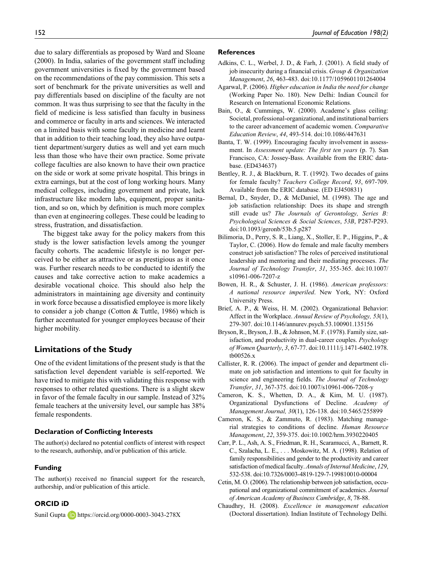due to salary differentials as proposed by Ward and Sloane (2000). In India, salaries of the government staff including government universities is fixed by the government based on the recommendations of the pay commission. This sets a sort of benchmark for the private universities as well and pay differentials based on discipline of the faculty are not common. It was thus surprising to see that the faculty in the field of medicine is less satisfied than faculty in business and commerce or faculty in arts and sciences. We interacted on a limited basis with some faculty in medicine and learnt that in addition to their teaching load, they also have outpatient department/surgery duties as well and yet earn much less than those who have their own practice. Some private college faculties are also known to have their own practice on the side or work at some private hospital. This brings in extra earnings, but at the cost of long working hours. Many medical colleges, including government and private, lack infrastructure like modern labs, equipment, proper sanitation, and so on, which by definition is much more complex than even at engineering colleges. These could be leading to stress, frustration, and dissatisfaction.

The biggest take away for the policy makers from this study is the lower satisfaction levels among the younger faculty cohorts. The academic lifestyle is no longer perceived to be either as attractive or as prestigious as it once was. Further research needs to be conducted to identify the causes and take corrective action to make academics a desirable vocational choice. This should also help the administrators in maintaining age diversity and continuity in work force because a dissatisfied employee is more likely to consider a job change (Cotton & Tuttle, 1986) which is further accentuated for younger employees because of their higher mobility.

# **Limitations of the Study**

One of the evident limitations of the present study is that the satisfaction level dependent variable is self-reported. We have tried to mitigate this with validating this response with responses to other related questions. There is a slight skew in favor of the female faculty in our sample. Instead of 32% female teachers at the university level, our sample has 38% female respondents.

## **Declaration of Conflicting Interests**

The author(s) declared no potential conflicts of interest with respect to the research, authorship, and/or publication of this article.

## **Funding**

The author(s) received no financial support for the research, authorship, and/or publication of this article.

## **ORCID iD**

Sunil Gupta **D** https://orcid.org/0000-0003-3043-278X

#### **References**

- Adkins, C. L., Werbel, J. D., & Farh, J. (2001). A field study of job insecurity during a financial crisis. *Group & Organization Management*, *26*, 463-483. doi:10.1177/1059601101264004
- Agarwal, P. (2006). *Higher education in India the need for change* (Working Paper No. 180). New Delhi: Indian Council for Research on International Economic Relations.
- Bain, O., & Cummings, W. (2000). Academe's glass ceiling: Societal, professional-organizational, and institutional barriers to the career advancement of academic women. *Comparative Education Review*, *44*, 493-514. doi:10.1086/447631
- Banta, T. W. (1999). Encouraging faculty involvement in assessment. In *Assessment update: The first ten years* (p. 7). San Francisco, CA: Jossey-Bass. Available from the ERIC database. (ED434637)
- Bentley, R. J., & Blackburn, R. T. (1992). Two decades of gains for female faculty? *Teachers College Record*, *93*, 697-709. Available from the ERIC database. (ED EJ450831)
- Bernal, D., Snyder, D., & McDaniel, M. (1998). The age and job satisfaction relationship: Does its shape and strength still evade us? *The Journals of Gerontology, Series B: Psychological Sciences & Social Sciences*, *53B*, P287-P293. doi:10.1093/geronb/53b.5.p287
- Bilimoria, D., Perry, S. R., Liang, X., Stoller, E. P., Higgins, P., & Taylor, C. (2006). How do female and male faculty members construct job satisfaction? The roles of perceived institutional leadership and mentoring and their mediating processes. *The Journal of Technology Transfer*, *31*, 355-365. doi:10.1007/ s10961-006-7207-z
- Bowen, H. R., & Schuster, J. H. (1986). *American professors: A national resource imperiled*. New York, NY: Oxford University Press.
- Brief, A. P., & Weiss, H. M. (2002). Organizational Behavior: Affect in the Workplace. *Annual Review of Psychology, 53*(1), 279-307. doi:10.1146/annurev.psych.53.100901.135156
- Bryson, R., Bryson, J. B., & Johnson, M. F. (1978). Family size, satisfaction, and productivity in dual-career couples. *Psychology of Women Quarterly*, *3*, 67-77. doi:10.1111/j.1471-6402.1978. tb00526.x
- Callister, R. R. (2006). The impact of gender and department climate on job satisfaction and intentions to quit for faculty in science and engineering fields. *The Journal of Technology Transfer*, *31*, 367-375. doi:10.1007/s10961-006-7208-y
- Cameron, K. S., Whetten, D. A., & Kim, M. U. (1987). Organizational Dysfunctions of Decline. *Academy of Management Journal, 30*(1), 126-138. doi:10.5465/255899
- Cameron, K. S., & Zammuto, R. (1983). Matching managerial strategies to conditions of decline. *Human Resource Management*, *22*, 359-375. doi:10.1002/hrm.3930220405
- Carr, P. L., Ash, A. S., Friedman, R. H., Scaramucci, A., Barnett, R. C., Szalacha, L. E., . . . Moskowitz, M. A. (1998). Relation of family responsibilities and gender to the productivity and career satisfaction of medical faculty. *Annals of Internal Medicine*, *129*, 532-538. doi:10.7326/0003-4819-129-7-199810010-00004
- Cetin, M. O. (2006). The relationship between job satisfaction, occupational and organizational commitment of academics. *Journal of American Academy of Business Cambridge*, *8*, 78-88.
- Chaudhry, H. (2008). *Excellence in management education* (Doctoral dissertation). Indian Institute of Technology Delhi.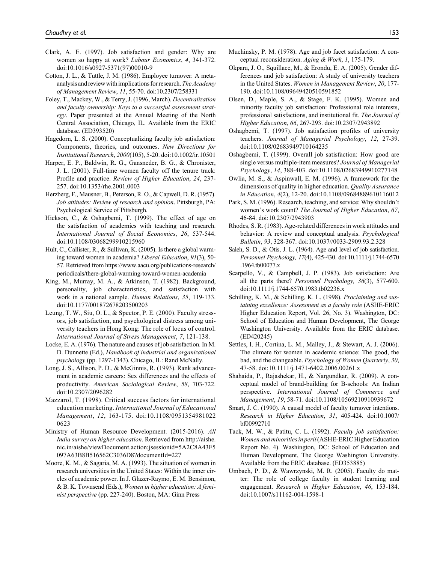- Clark, A. E. (1997). Job satisfaction and gender: Why are women so happy at work? *Labour Economics*, *4*, 341-372. doi:10.1016/s0927-5371(97)00010-9
- Cotton, J. L., & Tuttle, J. M. (1986). Employee turnover: A metaanalysis and review with implications for research. *The Academy of Management Review*, *11*, 55-70. doi:10.2307/258331
- Foley, T., Mackey, W., & Terry, J. (1996, March). *Decentralization and faculty ownership: Keys to a successful assessment strategy*. Paper presented at the Annual Meeting of the North Central Association, Chicago, IL. Available from the ERIC database. (ED393520)
- Hagedorn, L. S. (2000). Conceptualizing faculty job satisfaction: Components, theories, and outcomes. *New Directions for Institutional Research*, *2000*(105), 5-20. doi:10.1002/ir.10501
- Harper, E. P., Baldwin, R. G., Gansneder, B. G., & Chronister, J. L. (2001). Full-time women faculty off the tenure track: Profile and practice. *Review of Higher Education*, *24*, 237- 257. doi:10.1353/rhe.2001.0003
- Herzberg, F., Mausner, B., Peterson, R. O., & Capwell, D. R. (1957). *Job attitudes: Review of research and opinion*. Pittsburgh, PA: Psychological Service of Pittsburgh.
- Hickson, C., & Oshagbemi, T. (1999). The effect of age on the satisfaction of academics with teaching and research. *International Journal of Social Economics*, *26*, 537-544. doi:10.1108/03068299910215960
- Hult, C., Callister, R., & Sullivan, K. (2005). Is there a global warming toward women in academia? *Liberal Education*, *91*(3), 50- 57. Retrieved from https://www.aacu.org/publications-research/ periodicals/there-global-warming-toward-women-academia
- King, M., Murray, M. A., & Atkinson, T. (1982). Background, personality, job characteristics, and satisfaction with work in a national sample. *Human Relations*, *35*, 119-133. doi:10.1177/001872678203500203
- Leung, T. W., Siu, O. L., & Spector, P. E. (2000). Faculty stressors, job satisfaction, and psychological distress among university teachers in Hong Kong: The role of locus of control. *International Journal of Stress Management*, *7*, 121-138.
- Locke, E. A. (1976). The nature and causes of job satisfaction. In M. D. Dunnette (Ed.), *Handbook of industrial and organizational psychology* (pp. 1297-1343). Chicago, IL: Rand McNally.
- Long, J. S., Allison, P. D., & McGinnis, R. (1993). Rank advancement in academic careers: Sex differences and the effects of productivity. *American Sociological Review*, *58*, 703-722. doi:10.2307/2096282
- Mazzarol, T. (1998). Critical success factors for international education marketing. *International Journal of Educational Management*, *12*, 163-175. doi:10.1108/0951354981022 0623
- Ministry of Human Resource Development. (2015-2016). *All India survey on higher education*. Retrieved from http://aishe. nic.in/aishe/viewDocument.action;jsessionid=5A2C8A43F5 097A63B8B516562C3036D8?documentId=227
- Moore, K. M., & Sagaria, M. A. (1993). The situation of women in research universities in the United States: Within the inner circles of academic power. In J. Glazer-Raymo, E. M. Bensimon, & B. K. Townsend (Eds.), *Women in higher education: A feminist perspective* (pp. 227-240). Boston, MA: Ginn Press
- Muchinsky, P. M. (1978). Age and job facet satisfaction: A conceptual reconsideration. *Aging & Work*, *1*, 175-179.
- Okpara, J. O., Squillace, M., & Erondu, E. A. (2005). Gender differences and job satisfaction: A study of university teachers in the United States. *Women in Management Review*, *20*, 177- 190. doi:10.1108/09649420510591852
- Olsen, D., Maple, S. A., & Stage, F. K. (1995). Women and minority faculty job satisfaction: Professional role interests, professional satisfactions, and institutional fit. *The Journal of Higher Education*, *66*, 267-293. doi:10.2307/2943892
- Oshagbemi, T. (1997). Job satisfaction profiles of university teachers. *Journal of Managerial Psychology*, *12*, 27-39. doi:10.1108/02683949710164235
- Oshagbemi, T. (1999). Overall job satisfaction: How good are single versus multiple-item measures? *Journal of Managerial Psychology*, *14*, 388-403. doi:10.1108/02683949910277148
- Owlia, M. S., & Aspinwall, E. M. (1996). A framework for the dimensions of quality in higher education. *Quality Assurance in Education*, *4*(2), 12-20. doi:10.1108/09684889610116012
- Park, S. M. (1996). Research, teaching, and service: Why shouldn't women's work count? *The Journal of Higher Education*, *67*, 46-84. doi:10.2307/2943903
- Rhodes, S. R. (1983). Age-related differences in work attitudes and behavior: A review and conceptual analysis. *Psychological Bulletin*, *93*, 328-367. doi:10.1037//0033-2909.93.2.328
- Saleh, S. D., & Otis, J. L. (1964). Age and level of job satisfaction. *Personnel Psychology, 17*(4), 425-430. doi:10.1111/j.1744-6570 .1964.tb00077.x
- Scarpello, V., & Campbell, J. P. (1983). Job satisfaction: Are all the parts there? *Personnel Psychology, 36*(3), 577-600. doi:10.1111/j.1744-6570.1983.tb02236.x
- Schilling, K. M., & Schilling, K. L. (1998). *Proclaiming and sustaining excellence: Assessment as a faculty role* (ASHE-ERIC Higher Education Report, Vol. 26, No. 3). Washington, DC: School of Education and Human Development, The George Washington University. Available from the ERIC database. (ED420245)
- Settles, I. H., Cortina, L. M., Malley, J., & Stewart, A. J. (2006). The climate for women in academic science: The good, the bad, and the changeable. *Psychology of Women Quarterly*, *30*, 47-58. doi:10.1111/j.1471-6402.2006.00261.x
- Shahaida, P., Rajashekar, H., & Nargundkar, R. (2009). A conceptual model of brand-building for B-schools: An Indian perspective. *International Journal of Commerce and Management*, *19*, 58-71. doi:10.1108/10569210910939672
- Smart, J. C. (1990). A causal model of faculty turnover intentions. *Research in Higher Education*, *31*, 405-424. doi:10.1007/ bf00992710
- Tack, M. W., & Patitu, C. L. (1992). *Faculty job satisfaction: Women and minorities in peril* (ASHE-ERIC Higher Education Report No. 4). Washington, DC: School of Education and Human Development, The George Washington University. Available from the ERIC database. (ED353885)
- Umbach, P. D., & Wawrzynski, M. R. (2005). Faculty do matter: The role of college faculty in student learning and engagement. *Research in Higher Education*, *46*, 153-184. doi:10.1007/s11162-004-1598-1